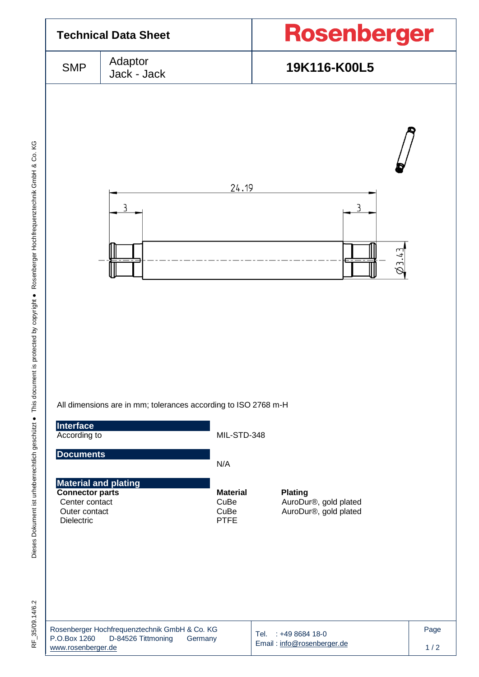

Dieses Dokument ist urheberrechtlich geschützt . This document is protected by copyright . Rosenberger Hochfrequenztechnik GmbH & Co. KG F\_35/09.14/6.2 Dieses Dokument ist urheberrechtlich geschützt ● This document is protected by copyright ● Rosenberger Hochfrequenztechnik GmbH & Co. KG

RF\_35/09.14/6.2

|                    | Rosenberger Hochfrequenztechnik GmbH & Co. KG |         |
|--------------------|-----------------------------------------------|---------|
| P.O.Box 1260       | D-84526 Tittmoning                            | Germany |
| www.rosenberger.de |                                               |         |

Tel. : +49 8684 18-0 Email [: info@rosenberger.de](mailto:info@rosenberger.de) Page  $1/2$